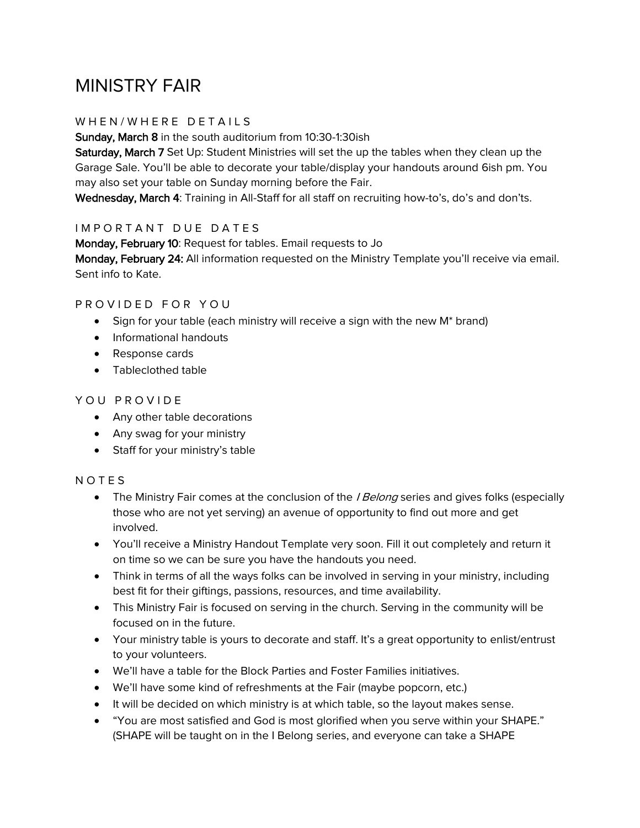# MINISTRY FAIR

## WHEN/WHERE DETAILS

Sunday, March 8 in the south auditorium from 10:30-1:30ish

Saturday, March 7 Set Up: Student Ministries will set the up the tables when they clean up the Garage Sale. You'll be able to decorate your table/display your handouts around 6ish pm. You may also set your table on Sunday morning before the Fair.

Wednesday, March 4: Training in All-Staff for all staff on recruiting how-to's, do's and don'ts.

### IMPORTANT DUE DATES

Monday, February 10: Request for tables. Email requests to Jo Monday, February 24: All information requested on the Ministry Template you'll receive via email. Sent info to Kate.

### PROVIDED FOR YOU

- Sign for your table (each ministry will receive a sign with the new M\* brand)
- Informational handouts
- Response cards
- Tableclothed table

#### YOU PROVIDE

- Any other table decorations
- Any swag for your ministry
- Staff for your ministry's table

### **NOTES**

- The Ministry Fair comes at the conclusion of the *I Belong* series and gives folks (especially those who are not yet serving) an avenue of opportunity to find out more and get involved.
- You'll receive a Ministry Handout Template very soon. Fill it out completely and return it on time so we can be sure you have the handouts you need.
- Think in terms of all the ways folks can be involved in serving in your ministry, including best fit for their giftings, passions, resources, and time availability.
- This Ministry Fair is focused on serving in the church. Serving in the community will be focused on in the future.
- Your ministry table is yours to decorate and staff. It's a great opportunity to enlist/entrust to your volunteers.
- We'll have a table for the Block Parties and Foster Families initiatives.
- We'll have some kind of refreshments at the Fair (maybe popcorn, etc.)
- It will be decided on which ministry is at which table, so the layout makes sense.
- "You are most satisfied and God is most glorified when you serve within your SHAPE." (SHAPE will be taught on in the I Belong series, and everyone can take a SHAPE